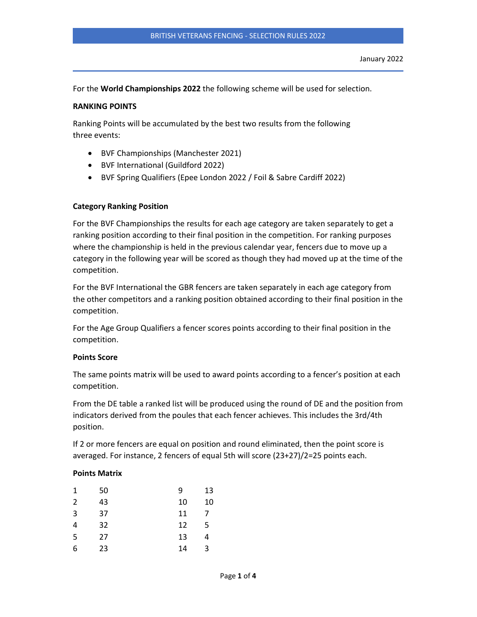For the World Championships 2022 the following scheme will be used for selection.

### RANKING POINTS

Ranking Points will be accumulated by the best two results from the following three events:

- BVF Championships (Manchester 2021)
- BVF International (Guildford 2022)
- BVF Spring Qualifiers (Epee London 2022 / Foil & Sabre Cardiff 2022)

### Category Ranking Position

For the BVF Championships the results for each age category are taken separately to get a ranking position according to their final position in the competition. For ranking purposes where the championship is held in the previous calendar year, fencers due to move up a category in the following year will be scored as though they had moved up at the time of the competition.

For the BVF International the GBR fencers are taken separately in each age category from the other competitors and a ranking position obtained according to their final position in the competition.

For the Age Group Qualifiers a fencer scores points according to their final position in the competition.

#### Points Score

The same points matrix will be used to award points according to a fencer's position at each competition.

From the DE table a ranked list will be produced using the round of DE and the position from indicators derived from the poules that each fencer achieves. This includes the 3rd/4th position.

If 2 or more fencers are equal on position and round eliminated, then the point score is averaged. For instance, 2 fencers of equal 5th will score (23+27)/2=25 points each.

#### Points Matrix

| 1 | 50 | 9  | 13 |
|---|----|----|----|
| 2 | 43 | 10 | 10 |
| 3 | 37 | 11 | 7  |
| 4 | 32 | 12 | 5  |
| 5 | 27 | 13 | 4  |
| 6 | 23 | 14 | 3  |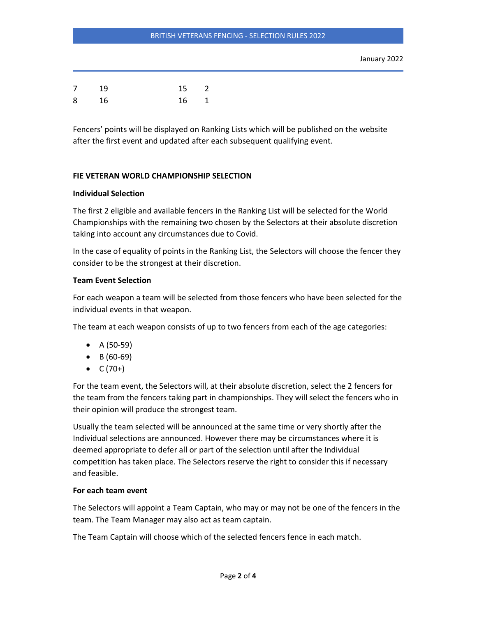### BRITISH VETERANS FENCING - SELECTION RULES 2022

| 7 | 19 | 15 2 |  |
|---|----|------|--|
| 8 | 16 | 16 1 |  |

Fencers' points will be displayed on Ranking Lists which will be published on the website after the first event and updated after each subsequent qualifying event.

# FIE VETERAN WORLD CHAMPIONSHIP SELECTION

### Individual Selection

The first 2 eligible and available fencers in the Ranking List will be selected for the World Championships with the remaining two chosen by the Selectors at their absolute discretion taking into account any circumstances due to Covid.

In the case of equality of points in the Ranking List, the Selectors will choose the fencer they consider to be the strongest at their discretion.

# Team Event Selection

For each weapon a team will be selected from those fencers who have been selected for the individual events in that weapon.

The team at each weapon consists of up to two fencers from each of the age categories:

- $A (50-59)$
- $\bullet$  B (60-69)
- $C (70+)$

For the team event, the Selectors will, at their absolute discretion, select the 2 fencers for the team from the fencers taking part in championships. They will select the fencers who in their opinion will produce the strongest team.

Usually the team selected will be announced at the same time or very shortly after the Individual selections are announced. However there may be circumstances where it is deemed appropriate to defer all or part of the selection until after the Individual competition has taken place. The Selectors reserve the right to consider this if necessary and feasible.

# For each team event

The Selectors will appoint a Team Captain, who may or may not be one of the fencers in the team. The Team Manager may also act as team captain.

The Team Captain will choose which of the selected fencers fence in each match.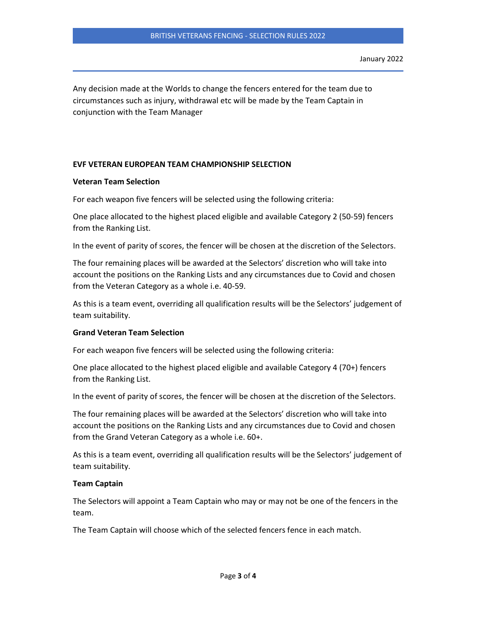Any decision made at the Worlds to change the fencers entered for the team due to circumstances such as injury, withdrawal etc will be made by the Team Captain in conjunction with the Team Manager

# EVF VETERAN EUROPEAN TEAM CHAMPIONSHIP SELECTION

### Veteran Team Selection

For each weapon five fencers will be selected using the following criteria:

One place allocated to the highest placed eligible and available Category 2 (50-59) fencers from the Ranking List.

In the event of parity of scores, the fencer will be chosen at the discretion of the Selectors.

The four remaining places will be awarded at the Selectors' discretion who will take into account the positions on the Ranking Lists and any circumstances due to Covid and chosen from the Veteran Category as a whole i.e. 40-59.

As this is a team event, overriding all qualification results will be the Selectors' judgement of team suitability.

# Grand Veteran Team Selection

For each weapon five fencers will be selected using the following criteria:

One place allocated to the highest placed eligible and available Category 4 (70+) fencers from the Ranking List.

In the event of parity of scores, the fencer will be chosen at the discretion of the Selectors.

The four remaining places will be awarded at the Selectors' discretion who will take into account the positions on the Ranking Lists and any circumstances due to Covid and chosen from the Grand Veteran Category as a whole i.e. 60+.

As this is a team event, overriding all qualification results will be the Selectors' judgement of team suitability.

#### Team Captain

The Selectors will appoint a Team Captain who may or may not be one of the fencers in the team.

The Team Captain will choose which of the selected fencers fence in each match.